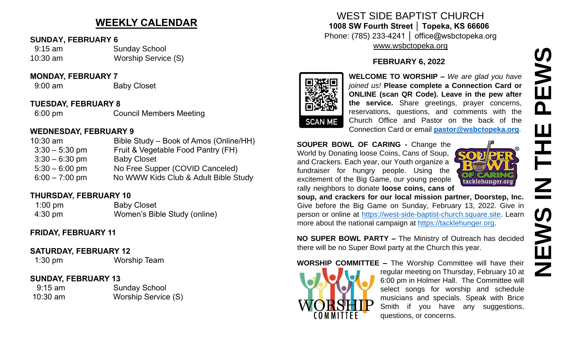# **WEEKLY CALENDAR**

#### **SUNDAY, FEBRUARY 6**

| $9:15$ am | <b>Sunday School</b> |
|-----------|----------------------|
| 10:30 am  | Worship Service (S)  |

#### **MONDAY, FEBRUARY 7**

9:00 am Baby Closet

#### **TUESDAY, FEBRUARY 8**

6:00 pm Council Members Meeting

#### **WEDNESDAY, FEBRUARY 9**

| $10:30$ am       | Bible Study – Book of Amos (Online/HH) |
|------------------|----------------------------------------|
| $3:30 - 5:30$ pm | Fruit & Vegetable Food Pantry (FH)     |
| $3:30 - 6:30$ pm | <b>Baby Closet</b>                     |
| $5:30 - 6:00$ pm | No Free Supper (COVID Canceled)        |
| $6:00 - 7:00$ pm | No WWW Kids Club & Adult Bible Study   |

#### **THURSDAY, FEBRUARY 10**

1:00 pm Baby Closet 4:30 pm Women's Bible Study (online)

### **FRIDAY, FEBRUARY 11**

#### **SATURDAY, FEBRUARY 12**

1:30 pm Worship Team

### **SUNDAY, FEBRUARY 13**

 9:15 am Sunday School 10:30 am Worship Service (S)

# WEST SIDE BAPTIST CHURCH **1008 SW Fourth Street │ Topeka, KS 66606** Phone: (785) 233-4241 │ office@wsbctopeka.org [www.wsbctopeka.org](http://www.wsbctopeka.org/)

### **FEBRUARY 6, 2022**



**WELCOME TO WORSHIP –** *We are glad you have joined us!* **Please complete a Connection Card or ONLINE (scan QR Code). Leave in the pew after the service.** Share greetings, prayer concerns, reservations, questions, and comments with the Church Office and Pastor on the back of the Connection Card or email **[pastor@wsbctopeka.org](mailto:pastor@wsbctopeka.org)**.

#### **SOUPER BOWL OF CARING -** Change the World by Donating loose Coins, Cans of Soup, and Crackers. Each year, our Youth organize a fundraiser for hungry people. Using the excitement of the Big Game, our young people rally neighbors to donate **loose coins, cans of**



**soup, and crackers for our local mission partner, Doorstep, Inc.** Give before the Big Game on Sunday, February 13, 2022. Give in person or online at [https://west-side-baptist-church.square.site.](https://west-side-baptist-church.square.site/) Learn more about the national campaign at [https://tacklehunger.org.](https://tacklehunger.org/)

**NO SUPER BOWL PARTY –** The Ministry of Outreach has decided there will be no Super Bowl party at the Church this year.

**WORSHIP COMMITTEE –** The Worship Committee will have their



regular meeting on Thursday, February 10 at 6:00 pm in Holmer Hall. The Committee will select songs for worship and schedule musicians and specials. Speak with Brice Smith if you have any suggestions, questions, or concerns.